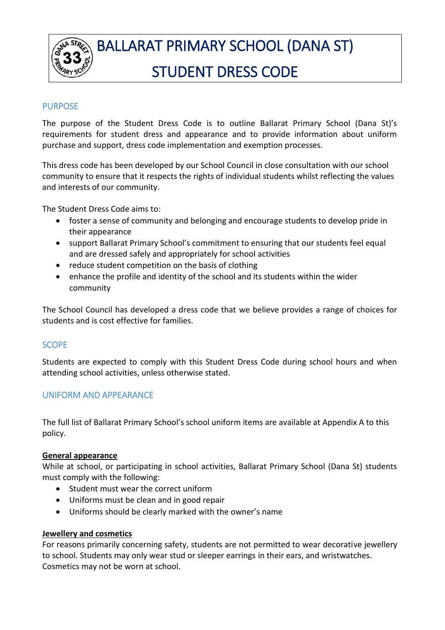

# PURPOSE

The purpose of the Student Dress Code is to outline Ballarat Primary School (Dana St)'s requirements for student dress and appearance and to provide information about uniform purchase and support, dress code implementation and exemption processes.

This dress code has been developed by our School Council in close consultation with our school community to ensure that it respects the rights of individual students whilst reflecting the values and interests of our community.

The Student Dress Code aims to:

- foster a sense of community and belonging and encourage students to develop pride in their appearance
- support Ballarat Primary School's commitment to ensuring that our students feel equal and are dressed safely and appropriately for school activities
- reduce student competition on the basis of clothing
- enhance the profile and identity of the school and its students within the wider community

The School Council has developed a dress code that we believe provides a range of choices for students and is cost effective for families.

## SCOPE

Students are expected to comply with this Student Dress Code during school hours and when attending school activities, unless otherwise stated.

## UNIFORM AND APPEARANCE

The full list of Ballarat Primary School's school uniform items are available at Appendix A to this policy.

## **General appearance**

While at school, or participating in school activities, Ballarat Primary School (Dana St) students must comply with the following:

- Student must wear the correct uniform
- Uniforms must be clean and in good repair
- Uniforms should be clearly marked with the owner's name

## **Jewellery and cosmetics**

For reasons primarily concerning safety, students are not permitted to wear decorative jewellery to school. Students may only wear stud or sleeper earrings in their ears, and wristwatches. Cosmetics may not be worn at school.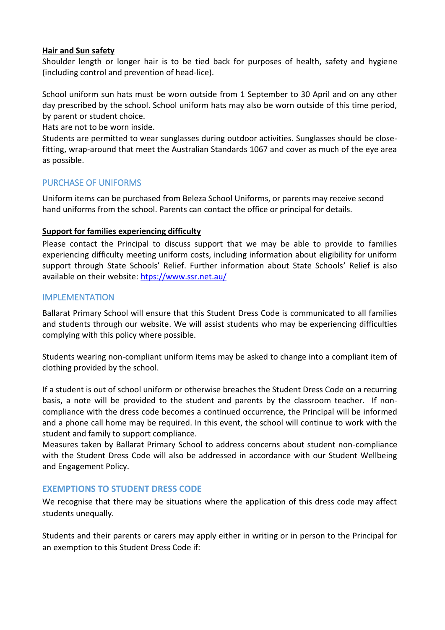### **Hair and Sun safety**

Shoulder length or longer hair is to be tied back for purposes of health, safety and hygiene (including control and prevention of head-lice).

School uniform sun hats must be worn outside from 1 September to 30 April and on any other day prescribed by the school. School uniform hats may also be worn outside of this time period, by parent or student choice.

Hats are not to be worn inside.

Students are permitted to wear sunglasses during outdoor activities. Sunglasses should be closefitting, wrap-around that meet the Australian Standards 1067 and cover as much of the eye area as possible.

## PURCHASE OF UNIFORMS

Uniform items can be purchased from Beleza School Uniforms, or parents may receive second hand uniforms from the school. Parents can contact the office or principal for details.

### **Support for families experiencing difficulty**

Please contact the Principal to discuss support that we may be able to provide to families experiencing difficulty meeting uniform costs, including information about eligibility for uniform support through State Schools' Relief. Further information about State Schools' Relief is also available on their website: [htps://www.ssr.net.au/](https://www.ssr.net.au/)

## IMPLEMENTATION

Ballarat Primary School will ensure that this Student Dress Code is communicated to all families and students through our website. We will assist students who may be experiencing difficulties complying with this policy where possible.

Students wearing non-compliant uniform items may be asked to change into a compliant item of clothing provided by the school.

If a student is out of school uniform or otherwise breaches the Student Dress Code on a recurring basis, a note will be provided to the student and parents by the classroom teacher. If noncompliance with the dress code becomes a continued occurrence, the Principal will be informed and a phone call home may be required. In this event, the school will continue to work with the student and family to support compliance.

Measures taken by Ballarat Primary School to address concerns about student non-compliance with the Student Dress Code will also be addressed in accordance with our Student Wellbeing and Engagement Policy.

## **EXEMPTIONS TO STUDENT DRESS CODE**

We recognise that there may be situations where the application of this dress code may affect students unequally.

Students and their parents or carers may apply either in writing or in person to the Principal for an exemption to this Student Dress Code if: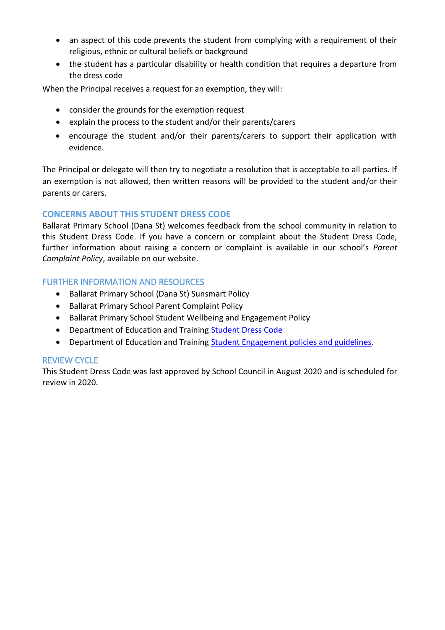- an aspect of this code prevents the student from complying with a requirement of their religious, ethnic or cultural beliefs or background
- the student has a particular disability or health condition that requires a departure from the dress code

When the Principal receives a request for an exemption, they will:

- consider the grounds for the exemption request
- explain the process to the student and/or their parents/carers
- encourage the student and/or their parents/carers to support their application with evidence.

The Principal or delegate will then try to negotiate a resolution that is acceptable to all parties. If an exemption is not allowed, then written reasons will be provided to the student and/or their parents or carers.

# **CONCERNS ABOUT THIS STUDENT DRESS CODE**

Ballarat Primary School (Dana St) welcomes feedback from the school community in relation to this Student Dress Code. If you have a concern or complaint about the Student Dress Code, further information about raising a concern or complaint is available in our school's *Parent Complaint Policy*, available on our website.

## FURTHER INFORMATION AND RESOURCES

- Ballarat Primary School (Dana St) Sunsmart Policy
- Ballarat Primary School Parent Complaint Policy
- Ballarat Primary School Student Wellbeing and Engagement Policy
- Department of Education and Training [Student Dress Code](https://www.education.vic.gov.au/school/principals/spag/management/pages/dresscode.aspx)
- Department of Education and Training [Student Engagement policies and guidelines.](https://www.education.vic.gov.au/school/teachers/behaviour/engagement/Pages/default.aspx)

## REVIEW CYCLE

This Student Dress Code was last approved by School Council in August 2020 and is scheduled for review in 2020.